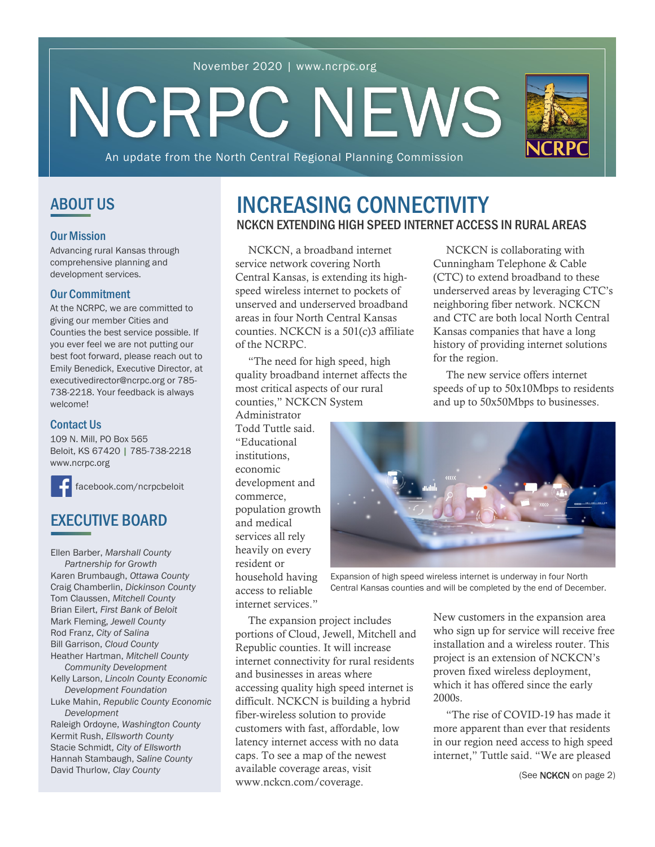### November 2020 | www.ncrpc.org

# NCRPC NEWS



An update from the North Central Regional Planning Commission

### ABOUT US

#### Our Mission

Advancing rural Kansas through comprehensive planning and development services.

### Our Commitment

At the NCRPC, we are committed to giving our member Cities and Counties the best service possible. If you ever feel we are not putting our best foot forward, please reach out to Emily Benedick, Executive Director, at executivedirector@ncrpc.org or 785- 738-2218. Your feedback is always welcome!

### Contact Us

109 N. Mill, PO Box 565 Beloit, KS 67420 | 785-738-2218 [www.ncrpc.org](https://www.ncrpc.org/)

[facebook.com/ncrpcbeloit](https://www.facebook.com/ncrpcbeloit) 

# EXECUTIVE BOARD

Ellen Barber, *Marshall County Partnership for Growth* Karen Brumbaugh, *Ottawa County* Craig Chamberlin, *Dickinson County* Tom Claussen, *Mitchell County* Brian Eilert, *First Bank of Beloit* Mark Fleming, *Jewell County* Rod Franz, *City of Salina* Bill Garrison, *Cloud County* Heather Hartman, *Mitchell County Community Development* Kelly Larson, *Lincoln County Economic Development Foundation* Luke Mahin, *Republic County Economic Development* Raleigh Ordoyne, *Washington County* Kermit Rush, *Ellsworth County* Stacie Schmidt, *City of Ellsworth* Hannah Stambaugh, *Saline County*

David Thurlow, *Clay County*

## NCKCN EXTENDING HIGH SPEED INTERNET ACCESS IN RURAL AREAS INCREASING CONNECTIVITY

NCKCN, a broadband internet service network covering North Central Kansas, is extending its highspeed wireless internet to pockets of unserved and underserved broadband areas in four North Central Kansas counties. NCKCN is a 501(c)3 affiliate of the NCRPC.

"The need for high speed, high quality broadband internet affects the most critical aspects of our rural counties," NCKCN System

Administrator Todd Tuttle said. "Educational institutions, economic development and commerce, population growth and medical services all rely heavily on every resident or household having access to reliable internet services."

NCKCN is collaborating with Cunningham Telephone & Cable (CTC) to extend broadband to these underserved areas by leveraging CTC's neighboring fiber network. NCKCN and CTC are both local North Central Kansas companies that have a long history of providing internet solutions for the region.

The new service offers internet speeds of up to 50x10Mbps to residents and up to 50x50Mbps to businesses.



Expansion of high speed wireless internet is underway in four North Central Kansas counties and will be completed by the end of December.

The expansion project includes portions of Cloud, Jewell, Mitchell and Republic counties. It will increase internet connectivity for rural residents and businesses in areas where accessing quality high speed internet is difficult. NCKCN is building a hybrid fiber-wireless solution to provide customers with fast, affordable, low latency internet access with no data caps. To see a map of the newest available coverage areas, visit [www.nckcn.com/coverage.](https://www.nckcn.com/coverage/) 

New customers in the expansion area who sign up for service will receive free installation and a wireless router. This project is an extension of NCKCN's proven fixed wireless deployment, which it has offered since the early 2000s.

"The rise of COVID-19 has made it more apparent than ever that residents in our region need access to high speed internet," Tuttle said. "We are pleased

(See NCKCN on page 2)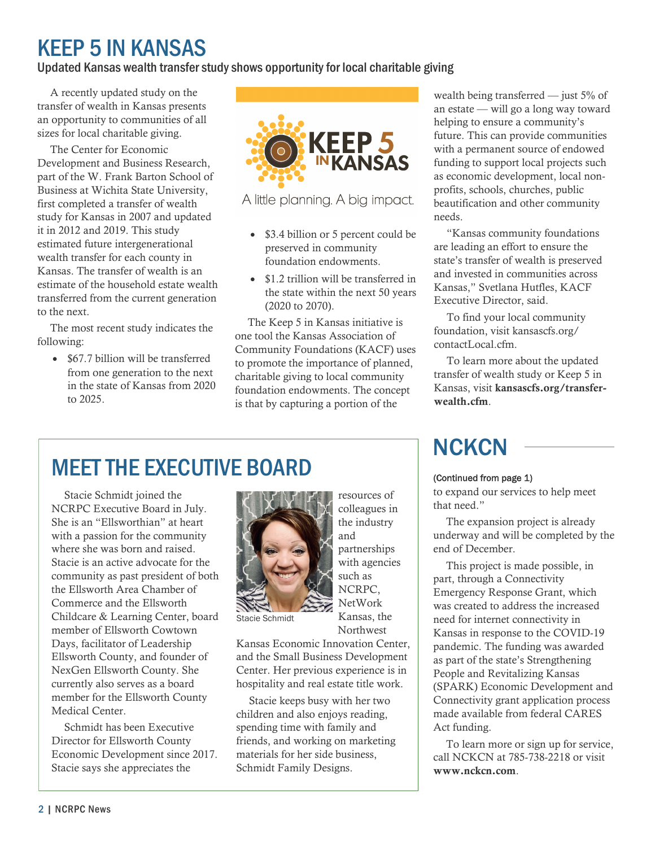# KEEP 5 IN KANSAS

### Updated Kansas wealth transfer study shows opportunity for local charitable giving

A recently updated study on the transfer of wealth in Kansas presents an opportunity to communities of all sizes for local charitable giving.

The Center for Economic Development and Business Research, part of the W. Frank Barton School of Business at Wichita State University, first completed a transfer of wealth study for Kansas in 2007 and updated it in 2012 and 2019. This study estimated future intergenerational wealth transfer for each county in Kansas. The transfer of wealth is an estimate of the household estate wealth transferred from the current generation to the next.

The most recent study indicates the following:

• \$67.7 billion will be transferred from one generation to the next in the state of Kansas from 2020 to 2025.



A little planning. A big impact.

- \$3.4 billion or 5 percent could be preserved in community foundation endowments.
- \$1.2 trillion will be transferred in the state within the next 50 years (2020 to 2070).

The Keep 5 in Kansas initiative is one tool the Kansas Association of Community Foundations (KACF) uses to promote the importance of planned, charitable giving to local community foundation endowments. The concept is that by capturing a portion of the

wealth being transferred — just 5% of an estate — will go a long way toward helping to ensure a community's future. This can provide communities with a permanent source of endowed funding to support local projects such as economic development, local nonprofits, schools, churches, public beautification and other community needs.

"Kansas community foundations are leading an effort to ensure the state's transfer of wealth is preserved and invested in communities across Kansas," Svetlana Hutfles, KACF Executive Director, said.

To find your local community [foundation, visit kansascfs.org/](https://kansascfs.org/contactLocal.cfm) contactLocal.cfm.

To learn more about the updated transfer of wealth study or Keep 5 in Kansas, visit [kansascfs.org/transfer](https://kansascfs.org/transfer-wealth.cfm)wealth.cfm.

# MEET THE EXECUTIVE BOARD

Stacie Schmidt joined the NCRPC Executive Board in July. She is an "Ellsworthian" at heart with a passion for the community where she was born and raised. Stacie is an active advocate for the community as past president of both the Ellsworth Area Chamber of Commerce and the Ellsworth Childcare & Learning Center, board member of Ellsworth Cowtown Days, facilitator of Leadership Ellsworth County, and founder of NexGen Ellsworth County. She currently also serves as a board member for the Ellsworth County Medical Center.

Schmidt has been Executive Director for Ellsworth County Economic Development since 2017. Stacie says she appreciates the



resources of colleagues in the industry and partnerships with agencies such as NCRPC, NetWork Kansas, the **Northwest** 

Stacie Schmidt

Kansas Economic Innovation Center, and the Small Business Development Center. Her previous experience is in hospitality and real estate title work.

Stacie keeps busy with her two children and also enjoys reading, spending time with family and friends, and working on marketing materials for her side business, Schmidt Family Designs.

# **NCKCN**

### (Continued from page 1)

to expand our services to help meet that need."

The expansion project is already underway and will be completed by the end of December.

This project is made possible, in part, through a Connectivity Emergency Response Grant, which was created to address the increased need for internet connectivity in Kansas in response to the COVID-19 pandemic. The funding was awarded as part of the state's Strengthening People and Revitalizing Kansas (SPARK) Economic Development and Connectivity grant application process made available from federal CARES Act funding.

To learn more or sign up for service, call NCKCN at 785-738-2218 or visit [www.nckcn.com](https://www.nckcn.com/).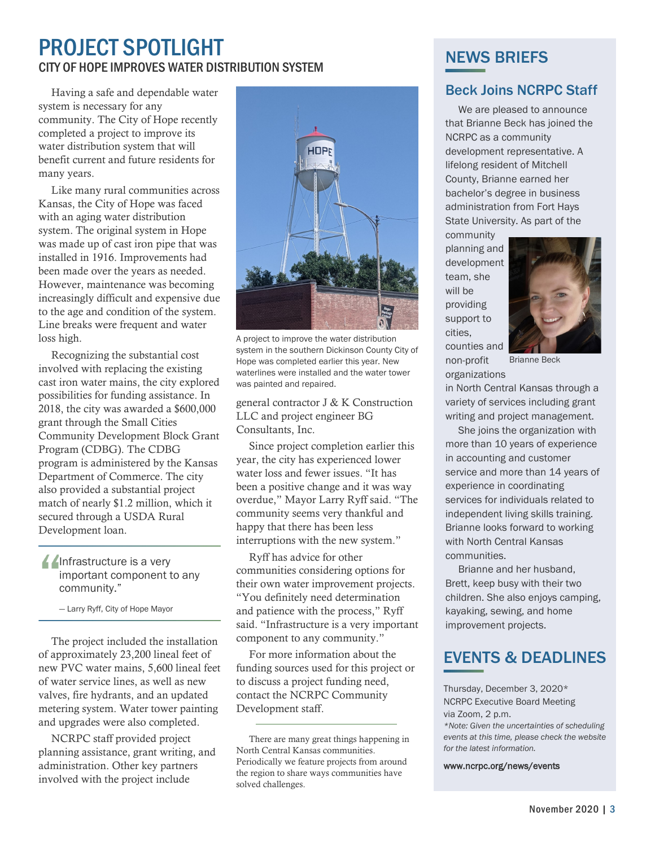# CITY OF HOPE IMPROVES WATER DISTRIBUTION SYSTEM PROJECT SPOTLIGHT

Having a safe and dependable water system is necessary for any community. The City of Hope recently completed a project to improve its water distribution system that will benefit current and future residents for many years.

Like many rural communities across Kansas, the City of Hope was faced with an aging water distribution system. The original system in Hope was made up of cast iron pipe that was installed in 1916. Improvements had been made over the years as needed. However, maintenance was becoming increasingly difficult and expensive due to the age and condition of the system. Line breaks were frequent and water loss high.

Recognizing the substantial cost involved with replacing the existing cast iron water mains, the city explored possibilities for funding assistance. In 2018, the city was awarded a \$600,000 grant through the Small Cities Community Development Block Grant Program (CDBG). The CDBG program is administered by the Kansas Department of Commerce. The city also provided a substantial project match of nearly \$1.2 million, which it secured through a USDA Rural Development loan.

### **Allaham Allen**ture is a very important component to any community."

— Larry Ryff, City of Hope Mayor

The project included the installation of approximately 23,200 lineal feet of new PVC water mains, 5,600 lineal feet of water service lines, as well as new valves, fire hydrants, and an updated metering system. Water tower painting and upgrades were also completed.

NCRPC staff provided project planning assistance, grant writing, and administration. Other key partners involved with the project include



A project to improve the water distribution system in the southern Dickinson County City of Hope was completed earlier this year. New waterlines were installed and the water tower was painted and repaired.

general contractor J & K Construction LLC and project engineer BG Consultants, Inc.

Since project completion earlier this year, the city has experienced lower water loss and fewer issues. "It has been a positive change and it was way overdue," Mayor Larry Ryff said. "The community seems very thankful and happy that there has been less interruptions with the new system."

Ryff has advice for other communities considering options for their own water improvement projects. "You definitely need determination and patience with the process," Ryff said. "Infrastructure is a very important component to any community."

For more information about the funding sources used for this project or to discuss a project funding need, contact the [NCRPC Community](https://www.ncrpc.org/services/community-development/)  [Development staff.](https://www.ncrpc.org/services/community-development/) 

# NEWS BRIEFS

### Beck Joins NCRPC Staff

We are pleased to announce that Brianne Beck has joined the NCRPC as a community development representative. A lifelong resident of Mitchell County, Brianne earned her bachelor's degree in business administration from Fort Hays State University. As part of the

community planning and development team, she will be providing support to cities, counties and non-profit

organizations



Brianne Beck

in North Central Kansas through a variety of services including grant writing and project management.

She joins the organization with more than 10 years of experience in accounting and customer service and more than 14 years of experience in coordinating services for individuals related to independent living skills training. Brianne looks forward to working with North Central Kansas communities.

Brianne and her husband, Brett, keep busy with their two children. She also enjoys camping, kayaking, sewing, and home improvement projects.

# EVENTS & DEADLINES

Thursday, December 3, 2020\* NCRPC Executive Board Meeting via Zoom, 2 p.m.

*\*Note: Given the uncertainties of scheduling events at this time, please check the website for the latest information.* 

#### [www.ncrpc.org/news/events](https://www.ncrpc.org/news/events/)

There are many great things happening in North Central Kansas communities. Periodically we feature projects from around the region to share ways communities have solved challenges.